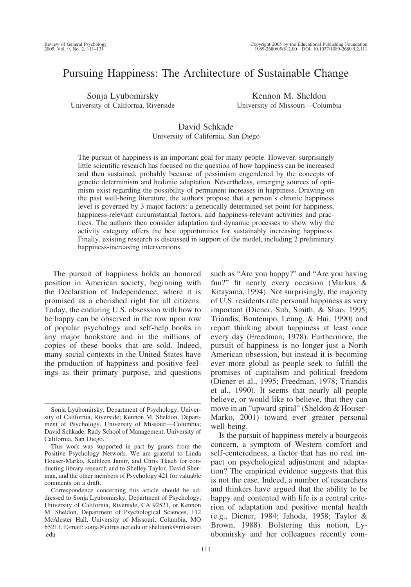# Pursuing Happiness: The Architecture of Sustainable Change

Sonja Lyubomirsky University of California, Riverside

Kennon M. Sheldon University of Missouri—Columbia

# David Schkade University of California, San Diego

The pursuit of happiness is an important goal for many people. However, surprisingly little scientific research has focused on the question of how happiness can be increased and then sustained, probably because of pessimism engendered by the concepts of genetic determinism and hedonic adaptation. Nevertheless, emerging sources of optimism exist regarding the possibility of permanent increases in happiness. Drawing on the past well-being literature, the authors propose that a person's chronic happiness level is governed by 3 major factors: a genetically determined set point for happiness, happiness-relevant circumstantial factors, and happiness-relevant activities and practices. The authors then consider adaptation and dynamic processes to show why the activity category offers the best opportunities for sustainably increasing happiness. Finally, existing research is discussed in support of the model, including 2 preliminary happiness-increasing interventions.

The pursuit of happiness holds an honored position in American society, beginning with the Declaration of Independence, where it is promised as a cherished right for all citizens. Today, the enduring U.S. obsession with how to be happy can be observed in the row upon row of popular psychology and self-help books in any major bookstore and in the millions of copies of these books that are sold. Indeed, many social contexts in the United States have the production of happiness and positive feelings as their primary purpose, and questions

such as "Are you happy?" and "Are you having fun?" fit nearly every occasion (Markus & Kitayama, 1994). Not surprisingly, the majority of U.S. residents rate personal happiness as very important (Diener, Suh, Smith, & Shao, 1995; Triandis, Bontempo, Leung, & Hui, 1990) and report thinking about happiness at least once every day (Freedman, 1978). Furthermore, the pursuit of happiness is no longer just a North American obsession, but instead it is becoming ever more global as people seek to fulfill the promises of capitalism and political freedom (Diener et al., 1995; Freedman, 1978; Triandis et al., 1990). It seems that nearly all people believe, or would like to believe, that they can move in an "upward spiral" (Sheldon & Houser-Marko, 2001) toward ever greater personal well-being.

Is the pursuit of happiness merely a bourgeois concern, a symptom of Western comfort and self-centeredness, a factor that has no real impact on psychological adjustment and adaptation? The empirical evidence suggests that this is not the case. Indeed, a number of researchers and thinkers have argued that the ability to be happy and contented with life is a central criterion of adaptation and positive mental health (e.g., Diener, 1984; Jahoda, 1958; Taylor & Brown, 1988). Bolstering this notion, Lyubomirsky and her colleagues recently com-

Sonja Lyubomirsky, Department of Psychology, University of California, Riverside; Kennon M. Sheldon, Department of Psychology, University of Missouri—Columbia; David Schkade, Rady School of Management, University of California, San Diego.

This work was supported in part by grants from the Positive Psychology Network. We are grateful to Linda Houser-Marko, Kathleen Jamir, and Chris Tkach for conducting library research and to Shelley Taylor, David Sherman, and the other members of Psychology 421 for valuable comments on a draft.

Correspondence concerning this article should be addressed to Sonja Lyubomirsky, Department of Psychology, University of California, Riverside, CA 92521, or Kennon M. Sheldon, Department of Psychological Sciences, 112 McAlester Hall, University of Missouri, Columbia, MO 65211. E-mail: sonja@citrus.ucr.edu or sheldonk@missouri .edu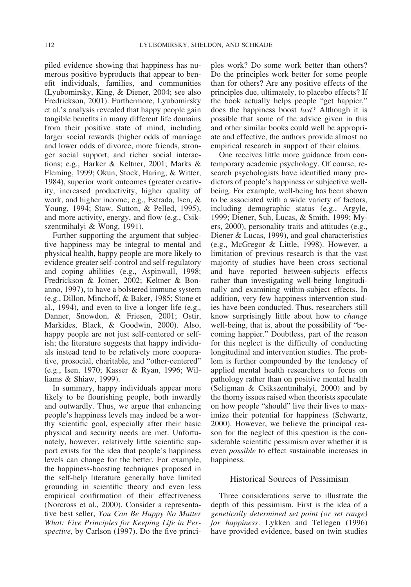piled evidence showing that happiness has numerous positive byproducts that appear to benefit individuals, families, and communities (Lyubomirsky, King, & Diener, 2004; see also Fredrickson, 2001). Furthermore, Lyubomirsky et al.'s analysis revealed that happy people gain tangible benefits in many different life domains from their positive state of mind, including larger social rewards (higher odds of marriage and lower odds of divorce, more friends, stronger social support, and richer social interactions; e.g., Harker & Keltner, 2001; Marks & Fleming, 1999; Okun, Stock, Haring, & Witter, 1984), superior work outcomes (greater creativity, increased productivity, higher quality of work, and higher income; e.g., Estrada, Isen, & Young, 1994; Staw, Sutton, & Pelled, 1995), and more activity, energy, and flow (e.g., Csikszentmihalyi & Wong, 1991).

Further supporting the argument that subjective happiness may be integral to mental and physical health, happy people are more likely to evidence greater self-control and self-regulatory and coping abilities (e.g., Aspinwall, 1998; Fredrickson & Joiner, 2002; Keltner & Bonanno, 1997), to have a bolstered immune system (e.g., Dillon, Minchoff, & Baker, 1985; Stone et al., 1994), and even to live a longer life (e.g., Danner, Snowdon, & Friesen, 2001; Ostir, Markides, Black, & Goodwin, 2000). Also, happy people are not just self-centered or selfish; the literature suggests that happy individuals instead tend to be relatively more cooperative, prosocial, charitable, and "other-centered" (e.g., Isen, 1970; Kasser & Ryan, 1996; Williams & Shiaw, 1999).

In summary, happy individuals appear more likely to be flourishing people, both inwardly and outwardly. Thus, we argue that enhancing people's happiness levels may indeed be a worthy scientific goal, especially after their basic physical and security needs are met. Unfortunately, however, relatively little scientific support exists for the idea that people's happiness levels can change for the better. For example, the happiness-boosting techniques proposed in the self-help literature generally have limited grounding in scientific theory and even less empirical confirmation of their effectiveness (Norcross et al., 2000). Consider a representative best seller, *You Can Be Happy No Matter What: Five Principles for Keeping Life in Perspective,* by Carlson (1997). Do the five principles work? Do some work better than others? Do the principles work better for some people than for others? Are any positive effects of the principles due, ultimately, to placebo effects? If the book actually helps people "get happier," does the happiness boost *last*? Although it is possible that some of the advice given in this and other similar books could well be appropriate and effective, the authors provide almost no empirical research in support of their claims.

One receives little more guidance from contemporary academic psychology. Of course, research psychologists have identified many predictors of people's happiness or subjective wellbeing. For example, well-being has been shown to be associated with a wide variety of factors, including demographic status (e.g., Argyle, 1999; Diener, Suh, Lucas, & Smith, 1999; Myers, 2000), personality traits and attitudes (e.g., Diener & Lucas, 1999), and goal characteristics (e.g., McGregor & Little, 1998). However, a limitation of previous research is that the vast majority of studies have been cross sectional and have reported between-subjects effects rather than investigating well-being longitudinally and examining within-subject effects. In addition, very few happiness intervention studies have been conducted. Thus, researchers still know surprisingly little about how to *change* well-being, that is, about the possibility of "becoming happier." Doubtless, part of the reason for this neglect is the difficulty of conducting longitudinal and intervention studies. The problem is further compounded by the tendency of applied mental health researchers to focus on pathology rather than on positive mental health (Seligman & Csikszentmihalyi, 2000) and by the thorny issues raised when theorists speculate on how people "should" live their lives to maximize their potential for happiness (Schwartz, 2000). However, we believe the principal reason for the neglect of this question is the considerable scientific pessimism over whether it is even *possible* to effect sustainable increases in happiness.

#### Historical Sources of Pessimism

Three considerations serve to illustrate the depth of this pessimism. First is the idea of a *genetically determined set point (or set range) for happiness*. Lykken and Tellegen (1996) have provided evidence, based on twin studies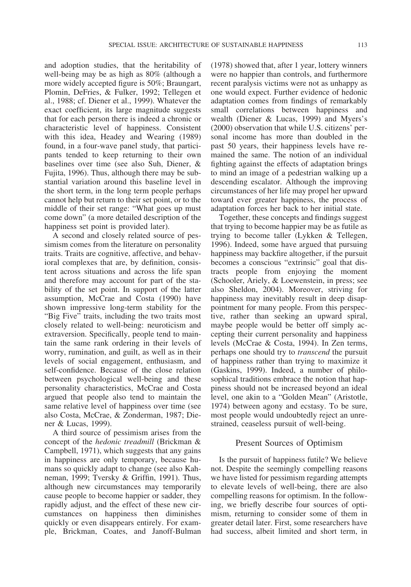and adoption studies, that the heritability of well-being may be as high as 80% (although a more widely accepted figure is 50%; Braungart, Plomin, DeFries, & Fulker, 1992; Tellegen et al., 1988; cf. Diener et al., 1999). Whatever the exact coefficient, its large magnitude suggests that for each person there is indeed a chronic or characteristic level of happiness. Consistent with this idea, Headey and Wearing (1989) found, in a four-wave panel study, that participants tended to keep returning to their own baselines over time (see also Suh, Diener, & Fujita, 1996). Thus, although there may be substantial variation around this baseline level in the short term, in the long term people perhaps cannot help but return to their set point, or to the middle of their set range: "What goes up must come down" (a more detailed description of the happiness set point is provided later).

A second and closely related source of pessimism comes from the literature on personality traits. Traits are cognitive, affective, and behavioral complexes that are, by definition, consistent across situations and across the life span and therefore may account for part of the stability of the set point. In support of the latter assumption, McCrae and Costa (1990) have shown impressive long-term stability for the "Big Five" traits, including the two traits most closely related to well-being: neuroticism and extraversion. Specifically, people tend to maintain the same rank ordering in their levels of worry, rumination, and guilt, as well as in their levels of social engagement, enthusiasm, and self-confidence. Because of the close relation between psychological well-being and these personality characteristics, McCrae and Costa argued that people also tend to maintain the same relative level of happiness over time (see also Costa, McCrae, & Zonderman, 1987; Diener & Lucas, 1999).

A third source of pessimism arises from the concept of the *hedonic treadmill* (Brickman & Campbell, 1971), which suggests that any gains in happiness are only temporary, because humans so quickly adapt to change (see also Kahneman, 1999; Tversky & Griffin, 1991). Thus, although new circumstances may temporarily cause people to become happier or sadder, they rapidly adjust, and the effect of these new circumstances on happiness then diminishes quickly or even disappears entirely. For example, Brickman, Coates, and Janoff-Bulman

(1978) showed that, after 1 year, lottery winners were no happier than controls, and furthermore recent paralysis victims were not as unhappy as one would expect. Further evidence of hedonic adaptation comes from findings of remarkably small correlations between happiness and wealth (Diener & Lucas, 1999) and Myers's (2000) observation that while U.S. citizens' personal income has more than doubled in the past 50 years, their happiness levels have remained the same. The notion of an individual fighting against the effects of adaptation brings to mind an image of a pedestrian walking up a descending escalator. Although the improving circumstances of her life may propel her upward toward ever greater happiness, the process of adaptation forces her back to her initial state.

Together, these concepts and findings suggest that trying to become happier may be as futile as trying to become taller (Lykken & Tellegen, 1996). Indeed, some have argued that pursuing happiness may backfire altogether, if the pursuit becomes a conscious "extrinsic" goal that distracts people from enjoying the moment (Schooler, Ariely, & Loewenstein, in press; see also Sheldon, 2004). Moreover, striving for happiness may inevitably result in deep disappointment for many people. From this perspective, rather than seeking an upward spiral, maybe people would be better off simply accepting their current personality and happiness levels (McCrae & Costa, 1994). In Zen terms, perhaps one should try to *transcend* the pursuit of happiness rather than trying to maximize it (Gaskins, 1999). Indeed, a number of philosophical traditions embrace the notion that happiness should not be increased beyond an ideal level, one akin to a "Golden Mean" (Aristotle, 1974) between agony and ecstasy. To be sure, most people would undoubtedly reject an unrestrained, ceaseless pursuit of well-being.

#### Present Sources of Optimism

Is the pursuit of happiness futile? We believe not. Despite the seemingly compelling reasons we have listed for pessimism regarding attempts to elevate levels of well-being, there are also compelling reasons for optimism. In the following, we briefly describe four sources of optimism, returning to consider some of them in greater detail later. First, some researchers have had success, albeit limited and short term, in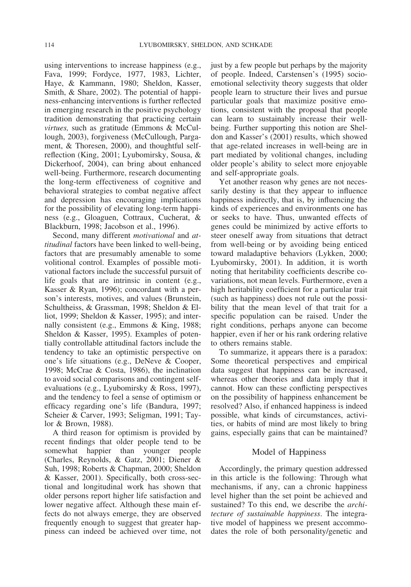using interventions to increase happiness (e.g., Fava, 1999; Fordyce, 1977, 1983, Lichter, Haye, & Kammann, 1980; Sheldon, Kasser, Smith, & Share, 2002). The potential of happiness-enhancing interventions is further reflected in emerging research in the positive psychology tradition demonstrating that practicing certain *virtues,* such as gratitude (Emmons & McCullough, 2003), forgiveness (McCullough, Pargament, & Thoresen, 2000), and thoughtful selfreflection (King, 2001; Lyubomirsky, Sousa, & Dickerhoof, 2004), can bring about enhanced well-being. Furthermore, research documenting the long-term effectiveness of cognitive and behavioral strategies to combat negative affect and depression has encouraging implications for the possibility of elevating long-term happiness (e.g., Gloaguen, Cottraux, Cucherat, & Blackburn, 1998; Jacobson et al., 1996).

Second, many different *motivational* and *attitudinal* factors have been linked to well-being, factors that are presumably amenable to some volitional control. Examples of possible motivational factors include the successful pursuit of life goals that are intrinsic in content (e.g., Kasser & Ryan, 1996); concordant with a person's interests, motives, and values (Brunstein, Schultheiss, & Grassman, 1998; Sheldon & Elliot, 1999; Sheldon & Kasser, 1995); and internally consistent (e.g., Emmons & King, 1988; Sheldon & Kasser, 1995). Examples of potentially controllable attitudinal factors include the tendency to take an optimistic perspective on one's life situations (e.g., DeNeve & Cooper, 1998; McCrae & Costa, 1986), the inclination to avoid social comparisons and contingent selfevaluations (e.g., Lyubomirsky & Ross, 1997), and the tendency to feel a sense of optimism or efficacy regarding one's life (Bandura, 1997; Scheier & Carver, 1993; Seligman, 1991; Taylor & Brown, 1988).

A third reason for optimism is provided by recent findings that older people tend to be somewhat happier than younger people (Charles, Reynolds, & Gatz, 2001; Diener & Suh, 1998; Roberts & Chapman, 2000; Sheldon & Kasser, 2001). Specifically, both cross-sectional and longitudinal work has shown that older persons report higher life satisfaction and lower negative affect. Although these main effects do not always emerge, they are observed frequently enough to suggest that greater happiness can indeed be achieved over time, not

just by a few people but perhaps by the majority of people. Indeed, Carstensen's (1995) socioemotional selectivity theory suggests that older people learn to structure their lives and pursue particular goals that maximize positive emotions, consistent with the proposal that people can learn to sustainably increase their wellbeing. Further supporting this notion are Sheldon and Kasser's (2001) results, which showed that age-related increases in well-being are in part mediated by volitional changes, including older people's ability to select more enjoyable and self-appropriate goals.

Yet another reason why genes are not necessarily destiny is that they appear to influence happiness indirectly, that is, by influencing the kinds of experiences and environments one has or seeks to have. Thus, unwanted effects of genes could be minimized by active efforts to steer oneself away from situations that detract from well-being or by avoiding being enticed toward maladaptive behaviors (Lykken, 2000; Lyubomirsky, 2001). In addition, it is worth noting that heritability coefficients describe covariations, not mean levels. Furthermore, even a high heritability coefficient for a particular trait (such as happiness) does not rule out the possibility that the mean level of that trait for a specific population can be raised. Under the right conditions, perhaps anyone can become happier, even if her or his rank ordering relative to others remains stable.

To summarize, it appears there is a paradox: Some theoretical perspectives and empirical data suggest that happiness can be increased, whereas other theories and data imply that it cannot. How can these conflicting perspectives on the possibility of happiness enhancement be resolved? Also, if enhanced happiness is indeed possible, what kinds of circumstances, activities, or habits of mind are most likely to bring gains, especially gains that can be maintained?

#### Model of Happiness

Accordingly, the primary question addressed in this article is the following: Through what mechanisms, if any, can a chronic happiness level higher than the set point be achieved and sustained? To this end, we describe the *architecture of sustainable happiness*. The integrative model of happiness we present accommodates the role of both personality/genetic and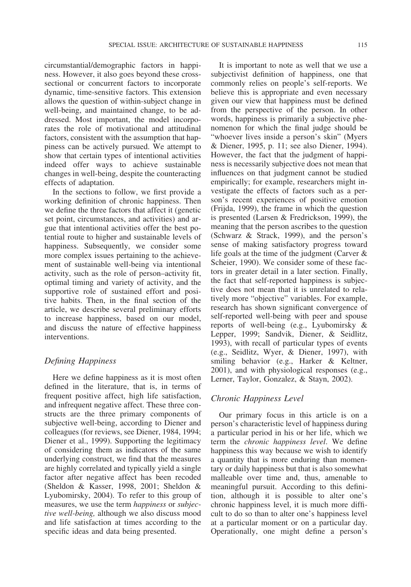circumstantial/demographic factors in happiness. However, it also goes beyond these crosssectional or concurrent factors to incorporate dynamic, time-sensitive factors. This extension allows the question of within-subject change in well-being, and maintained change, to be addressed. Most important, the model incorporates the role of motivational and attitudinal factors, consistent with the assumption that happiness can be actively pursued. We attempt to show that certain types of intentional activities indeed offer ways to achieve sustainable changes in well-being, despite the counteracting effects of adaptation.

In the sections to follow, we first provide a working definition of chronic happiness. Then we define the three factors that affect it (genetic set point, circumstances, and activities) and argue that intentional activities offer the best potential route to higher and sustainable levels of happiness. Subsequently, we consider some more complex issues pertaining to the achievement of sustainable well-being via intentional activity, such as the role of person–activity fit, optimal timing and variety of activity, and the supportive role of sustained effort and positive habits. Then, in the final section of the article, we describe several preliminary efforts to increase happiness, based on our model, and discuss the nature of effective happiness interventions.

#### *Defining Happiness*

Here we define happiness as it is most often defined in the literature, that is, in terms of frequent positive affect, high life satisfaction, and infrequent negative affect. These three constructs are the three primary components of subjective well-being, according to Diener and colleagues (for reviews, see Diener, 1984, 1994; Diener et al., 1999). Supporting the legitimacy of considering them as indicators of the same underlying construct, we find that the measures are highly correlated and typically yield a single factor after negative affect has been recoded (Sheldon & Kasser, 1998, 2001; Sheldon & Lyubomirsky, 2004). To refer to this group of measures, we use the term *happiness* or *subjective well-being,* although we also discuss mood and life satisfaction at times according to the specific ideas and data being presented.

It is important to note as well that we use a subjectivist definition of happiness, one that commonly relies on people's self-reports. We believe this is appropriate and even necessary given our view that happiness must be defined from the perspective of the person. In other words, happiness is primarily a subjective phenomenon for which the final judge should be "whoever lives inside a person's skin" (Myers & Diener, 1995, p. 11; see also Diener, 1994). However, the fact that the judgment of happiness is necessarily subjective does not mean that influences on that judgment cannot be studied empirically; for example, researchers might investigate the effects of factors such as a person's recent experiences of positive emotion (Frijda, 1999), the frame in which the question is presented (Larsen & Fredrickson, 1999), the meaning that the person ascribes to the question (Schwarz & Strack, 1999), and the person's sense of making satisfactory progress toward life goals at the time of the judgment (Carver & Scheier, 1990). We consider some of these factors in greater detail in a later section. Finally, the fact that self-reported happiness is subjective does not mean that it is unrelated to relatively more "objective" variables. For example, research has shown significant convergence of self-reported well-being with peer and spouse reports of well-being (e.g., Lyubomirsky & Lepper, 1999; Sandvik, Diener, & Seidlitz, 1993), with recall of particular types of events (e.g., Seidlitz, Wyer, & Diener, 1997), with smiling behavior (e.g., Harker & Keltner, 2001), and with physiological responses (e.g., Lerner, Taylor, Gonzalez, & Stayn, 2002).

#### *Chronic Happiness Level*

Our primary focus in this article is on a person's characteristic level of happiness during a particular period in his or her life, which we term the *chronic happiness level*. We define happiness this way because we wish to identify a quantity that is more enduring than momentary or daily happiness but that is also somewhat malleable over time and, thus, amenable to meaningful pursuit. According to this definition, although it is possible to alter one's chronic happiness level, it is much more difficult to do so than to alter one's happiness level at a particular moment or on a particular day. Operationally, one might define a person's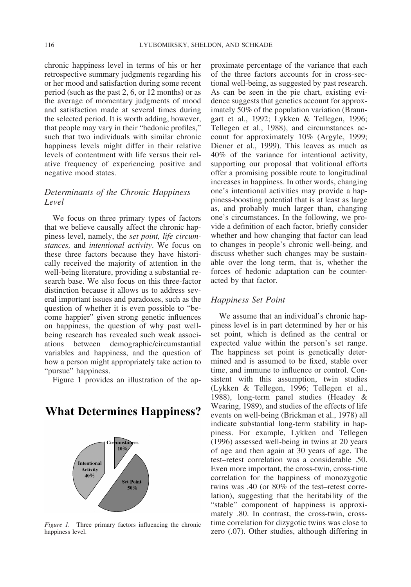chronic happiness level in terms of his or her retrospective summary judgments regarding his or her mood and satisfaction during some recent period (such as the past 2, 6, or 12 months) or as the average of momentary judgments of mood and satisfaction made at several times during the selected period. It is worth adding, however, that people may vary in their "hedonic profiles," such that two individuals with similar chronic happiness levels might differ in their relative levels of contentment with life versus their relative frequency of experiencing positive and negative mood states.

# *Determinants of the Chronic Happiness Level*

We focus on three primary types of factors that we believe causally affect the chronic happiness level, namely, the *set point, life circumstances,* and *intentional activity*. We focus on these three factors because they have historically received the majority of attention in the well-being literature, providing a substantial research base. We also focus on this three-factor distinction because it allows us to address several important issues and paradoxes, such as the question of whether it is even possible to "become happier" given strong genetic influences on happiness, the question of why past wellbeing research has revealed such weak associations between demographic/circumstantial variables and happiness, and the question of how a person might appropriately take action to "pursue" happiness.

Figure 1 provides an illustration of the ap-

# **What Determines Happiness?**



*Figure 1.* Three primary factors influencing the chronic happiness level.

proximate percentage of the variance that each of the three factors accounts for in cross-sectional well-being, as suggested by past research. As can be seen in the pie chart, existing evidence suggests that genetics account for approximately 50% of the population variation (Braungart et al., 1992; Lykken & Tellegen, 1996; Tellegen et al., 1988), and circumstances account for approximately 10% (Argyle, 1999; Diener et al., 1999). This leaves as much as 40% of the variance for intentional activity, supporting our proposal that volitional efforts offer a promising possible route to longitudinal increases in happiness. In other words, changing one's intentional activities may provide a happiness-boosting potential that is at least as large as, and probably much larger than, changing one's circumstances. In the following, we provide a definition of each factor, briefly consider whether and how changing that factor can lead to changes in people's chronic well-being, and discuss whether such changes may be sustainable over the long term, that is, whether the forces of hedonic adaptation can be counteracted by that factor.

### *Happiness Set Point*

We assume that an individual's chronic happiness level is in part determined by her or his set point, which is defined as the central or expected value within the person's set range. The happiness set point is genetically determined and is assumed to be fixed, stable over time, and immune to influence or control. Consistent with this assumption, twin studies (Lykken & Tellegen, 1996; Tellegen et al., 1988), long-term panel studies (Headey & Wearing, 1989), and studies of the effects of life events on well-being (Brickman et al., 1978) all indicate substantial long-term stability in happiness. For example, Lykken and Tellegen (1996) assessed well-being in twins at 20 years of age and then again at 30 years of age. The test–retest correlation was a considerable .50. Even more important, the cross-twin, cross-time correlation for the happiness of monozygotic twins was .40 (or 80% of the test–retest correlation), suggesting that the heritability of the "stable" component of happiness is approximately .80. In contrast, the cross-twin, crosstime correlation for dizygotic twins was close to zero (.07). Other studies, although differing in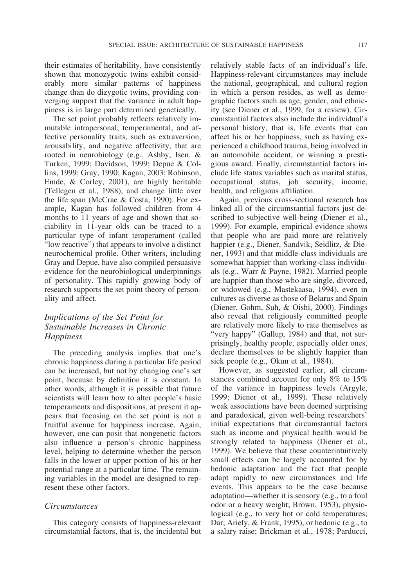their estimates of heritability, have consistently shown that monozygotic twins exhibit considerably more similar patterns of happiness change than do dizygotic twins, providing converging support that the variance in adult happiness is in large part determined genetically.

The set point probably reflects relatively immutable intrapersonal, temperamental, and affective personality traits, such as extraversion, arousability, and negative affectivity, that are rooted in neurobiology (e.g., Ashby, Isen, & Turken, 1999; Davidson, 1999; Depue & Collins, 1999; Gray, 1990; Kagan, 2003; Robinson, Emde, & Corley, 2001), are highly heritable (Tellegen et al., 1988), and change little over the life span (McCrae & Costa, 1990). For example, Kagan has followed children from 4 months to 11 years of age and shown that sociability in 11-year olds can be traced to a particular type of infant temperament (called "low reactive") that appears to involve a distinct neurochemical profile. Other writers, including Gray and Depue, have also compiled persuasive evidence for the neurobiological underpinnings of personality. This rapidly growing body of research supports the set point theory of personality and affect.

# *Implications of the Set Point for Sustainable Increases in Chronic Happiness*

The preceding analysis implies that one's chronic happiness during a particular life period can be increased, but not by changing one's set point, because by definition it is constant. In other words, although it is possible that future scientists will learn how to alter people's basic temperaments and dispositions, at present it appears that focusing on the set point is not a fruitful avenue for happiness increase. Again, however, one can posit that nongenetic factors also influence a person's chronic happiness level, helping to determine whether the person falls in the lower or upper portion of his or her potential range at a particular time. The remaining variables in the model are designed to represent these other factors.

#### *Circumstances*

This category consists of happiness-relevant circumstantial factors, that is, the incidental but

relatively stable facts of an individual's life. Happiness-relevant circumstances may include the national, geographical, and cultural region in which a person resides, as well as demographic factors such as age, gender, and ethnicity (see Diener et al., 1999, for a review). Circumstantial factors also include the individual's personal history, that is, life events that can affect his or her happiness, such as having experienced a childhood trauma, being involved in an automobile accident, or winning a prestigious award. Finally, circumstantial factors include life status variables such as marital status, occupational status, job security, income, health, and religious affiliation.

Again, previous cross-sectional research has linked all of the circumstantial factors just described to subjective well-being (Diener et al., 1999). For example, empirical evidence shows that people who are paid more are relatively happier (e.g., Diener, Sandvik, Seidlitz, & Diener, 1993) and that middle-class individuals are somewhat happier than working-class individuals (e.g., Warr & Payne, 1982). Married people are happier than those who are single, divorced, or widowed (e.g., Mastekaasa, 1994), even in cultures as diverse as those of Belarus and Spain (Diener, Gohm, Suh, & Oishi, 2000). Findings also reveal that religiously committed people are relatively more likely to rate themselves as "very happy" (Gallup, 1984) and that, not surprisingly, healthy people, especially older ones, declare themselves to be slightly happier than sick people (e.g., Okun et al., 1984).

However, as suggested earlier, all circumstances combined account for only 8% to 15% of the variance in happiness levels (Argyle, 1999; Diener et al., 1999). These relatively weak associations have been deemed surprising and paradoxical, given well-being researchers' initial expectations that circumstantial factors such as income and physical health would be strongly related to happiness (Diener et al., 1999). We believe that these counterintuitively small effects can be largely accounted for by hedonic adaptation and the fact that people adapt rapidly to new circumstances and life events. This appears to be the case because adaptation—whether it is sensory (e.g., to a foul odor or a heavy weight; Brown, 1953), physiological (e.g., to very hot or cold temperatures; Dar, Ariely, & Frank, 1995), or hedonic (e.g., to a salary raise; Brickman et al., 1978; Parducci,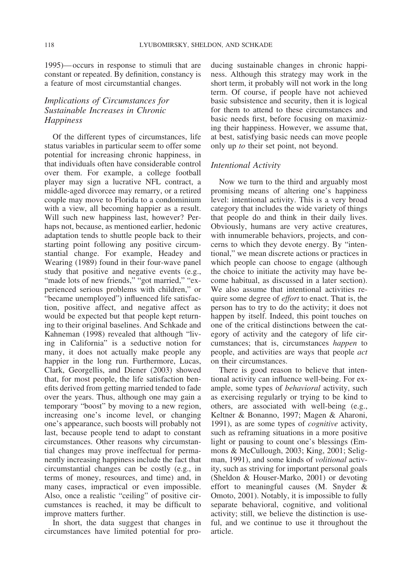1995)—occurs in response to stimuli that are constant or repeated. By definition, constancy is a feature of most circumstantial changes.

# *Implications of Circumstances for Sustainable Increases in Chronic Happiness*

Of the different types of circumstances, life status variables in particular seem to offer some potential for increasing chronic happiness, in that individuals often have considerable control over them. For example, a college football player may sign a lucrative NFL contract, a middle-aged divorcee may remarry, or a retired couple may move to Florida to a condominium with a view, all becoming happier as a result. Will such new happiness last, however? Perhaps not, because, as mentioned earlier, hedonic adaptation tends to shuttle people back to their starting point following any positive circumstantial change. For example, Headey and Wearing (1989) found in their four-wave panel study that positive and negative events (e.g., "made lots of new friends," "got married," "experienced serious problems with children," or "became unemployed") influenced life satisfaction, positive affect, and negative affect as would be expected but that people kept returning to their original baselines. And Schkade and Kahneman (1998) revealed that although "living in California" is a seductive notion for many, it does not actually make people any happier in the long run. Furthermore, Lucas, Clark, Georgellis, and Diener (2003) showed that, for most people, the life satisfaction benefits derived from getting married tended to fade over the years. Thus, although one may gain a temporary "boost" by moving to a new region, increasing one's income level, or changing one's appearance, such boosts will probably not last, because people tend to adapt to constant circumstances. Other reasons why circumstantial changes may prove ineffectual for permanently increasing happiness include the fact that circumstantial changes can be costly (e.g., in terms of money, resources, and time) and, in many cases, impractical or even impossible. Also, once a realistic "ceiling" of positive circumstances is reached, it may be difficult to improve matters further.

In short, the data suggest that changes in circumstances have limited potential for producing sustainable changes in chronic happiness. Although this strategy may work in the short term, it probably will not work in the long term. Of course, if people have not achieved basic subsistence and security, then it is logical for them to attend to these circumstances and basic needs first, before focusing on maximizing their happiness. However, we assume that, at best, satisfying basic needs can move people only up *to* their set point, not beyond.

### *Intentional Activity*

Now we turn to the third and arguably most promising means of altering one's happiness level: intentional activity. This is a very broad category that includes the wide variety of things that people do and think in their daily lives. Obviously, humans are very active creatures, with innumerable behaviors, projects, and concerns to which they devote energy. By "intentional," we mean discrete actions or practices in which people can choose to engage (although the choice to initiate the activity may have become habitual, as discussed in a later section). We also assume that intentional activities require some degree of *effort* to enact. That is, the person has to try to do the activity; it does not happen by itself. Indeed, this point touches on one of the critical distinctions between the category of activity and the category of life circumstances; that is, circumstances *happen* to people, and activities are ways that people *act* on their circumstances.

There is good reason to believe that intentional activity can influence well-being. For example, some types of *behavioral* activity, such as exercising regularly or trying to be kind to others, are associated with well-being (e.g., Keltner & Bonanno, 1997; Magen & Aharoni, 1991), as are some types of *cognitive* activity, such as reframing situations in a more positive light or pausing to count one's blessings (Emmons & McCullough, 2003; King, 2001; Seligman, 1991), and some kinds of *volitional* activity, such as striving for important personal goals (Sheldon & Houser-Marko, 2001) or devoting effort to meaningful causes (M. Snyder & Omoto, 2001). Notably, it is impossible to fully separate behavioral, cognitive, and volitional activity; still, we believe the distinction is useful, and we continue to use it throughout the article.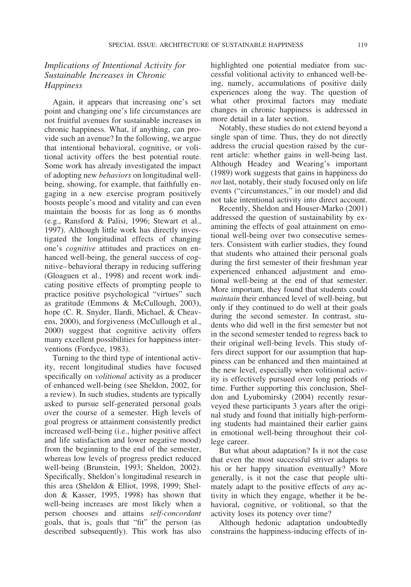## *Implications of Intentional Activity for Sustainable Increases in Chronic Happiness*

Again, it appears that increasing one's set point and changing one's life circumstances are not fruitful avenues for sustainable increases in chronic happiness. What, if anything, can provide such an avenue? In the following, we argue that intentional behavioral, cognitive, or volitional activity offers the best potential route. Some work has already investigated the impact of adopting new *behaviors* on longitudinal wellbeing, showing, for example, that faithfully engaging in a new exercise program positively boosts people's mood and vitality and can even maintain the boosts for as long as 6 months (e.g., Ransford & Palisi, 1996; Stewart et al., 1997). Although little work has directly investigated the longitudinal effects of changing one's *cognitive* attitudes and practices on enhanced well-being, the general success of cognitive–behavioral therapy in reducing suffering (Gloaguen et al., 1998) and recent work indicating positive effects of prompting people to practice positive psychological "virtues" such as gratitude (Emmons & McCullough, 2003), hope (C. R. Snyder, Ilardi, Michael, & Cheavens, 2000), and forgiveness (McCullough et al., 2000) suggest that cognitive activity offers many excellent possibilities for happiness interventions (Fordyce, 1983).

Turning to the third type of intentional activity, recent longitudinal studies have focused specifically on *volitional* activity as a producer of enhanced well-being (see Sheldon, 2002, for a review). In such studies, students are typically asked to pursue self-generated personal goals over the course of a semester. High levels of goal progress or attainment consistently predict increased well-being (i.e., higher positive affect and life satisfaction and lower negative mood) from the beginning to the end of the semester, whereas low levels of progress predict reduced well-being (Brunstein, 1993; Sheldon, 2002). Specifically, Sheldon's longitudinal research in this area (Sheldon & Elliot, 1998, 1999; Sheldon & Kasser, 1995, 1998) has shown that well-being increases are most likely when a person chooses and attains *self-concordant* goals, that is, goals that "fit" the person (as described subsequently). This work has also

highlighted one potential mediator from successful volitional activity to enhanced well-being, namely, accumulations of positive daily experiences along the way. The question of what other proximal factors may mediate changes in chronic happiness is addressed in more detail in a later section.

Notably, these studies do not extend beyond a single span of time. Thus, they do not directly address the crucial question raised by the current article: whether gains in well-being last. Although Headey and Wearing's important (1989) work suggests that gains in happiness do *not* last, notably, their study focused only on life events ("circumstances," in our model) and did not take intentional activity into direct account.

Recently, Sheldon and Houser-Marko (2001) addressed the question of sustainability by examining the effects of goal attainment on emotional well-being over two consecutive semesters. Consistent with earlier studies, they found that students who attained their personal goals during the first semester of their freshman year experienced enhanced adjustment and emotional well-being at the end of that semester. More important, they found that students could *maintain* their enhanced level of well-being, but only if they continued to do well at their goals during the second semester. In contrast, students who did well in the first semester but not in the second semester tended to regress back to their original well-being levels. This study offers direct support for our assumption that happiness can be enhanced and then maintained at the new level, especially when volitional activity is effectively pursued over long periods of time. Further supporting this conclusion, Sheldon and Lyubomirsky (2004) recently resurveyed these participants 3 years after the original study and found that initially high-performing students had maintained their earlier gains in emotional well-being throughout their college career.

But what about adaptation? Is it not the case that even the most successful striver adapts to his or her happy situation eventually? More generally, is it not the case that people ultimately adapt to the positive effects of *any* activity in which they engage, whether it be behavioral, cognitive, or volitional, so that the activity loses its potency over time?

Although hedonic adaptation undoubtedly constrains the happiness-inducing effects of in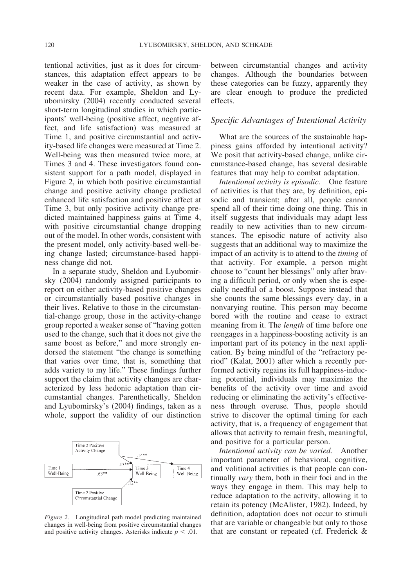tentional activities, just as it does for circumstances, this adaptation effect appears to be weaker in the case of activity, as shown by recent data. For example, Sheldon and Lyubomirsky (2004) recently conducted several short-term longitudinal studies in which participants' well-being (positive affect, negative affect, and life satisfaction) was measured at Time 1, and positive circumstantial and activity-based life changes were measured at Time 2. Well-being was then measured twice more, at Times 3 and 4. These investigators found consistent support for a path model, displayed in Figure 2, in which both positive circumstantial change and positive activity change predicted enhanced life satisfaction and positive affect at Time 3, but only positive activity change predicted maintained happiness gains at Time 4, with positive circumstantial change dropping out of the model. In other words, consistent with the present model, only activity-based well-being change lasted; circumstance-based happiness change did not.

In a separate study, Sheldon and Lyubomirsky (2004) randomly assigned participants to report on either activity-based positive changes or circumstantially based positive changes in their lives. Relative to those in the circumstantial-change group, those in the activity-change group reported a weaker sense of "having gotten used to the change, such that it does not give the same boost as before," and more strongly endorsed the statement "the change is something that varies over time, that is, something that adds variety to my life." These findings further support the claim that activity changes are characterized by less hedonic adaptation than circumstantial changes. Parenthetically, Sheldon and Lyubomirsky's (2004) findings, taken as a whole, support the validity of our distinction



*Figure 2.* Longitudinal path model predicting maintained changes in well-being from positive circumstantial changes and positive activity changes. Asterisks indicate  $p < .01$ .

between circumstantial changes and activity changes. Although the boundaries between these categories can be fuzzy, apparently they are clear enough to produce the predicted effects.

### *Specific Advantages of Intentional Activity*

What are the sources of the sustainable happiness gains afforded by intentional activity? We posit that activity-based change, unlike circumstance-based change, has several desirable features that may help to combat adaptation.

*Intentional activity is episodic.* One feature of activities is that they are, by definition, episodic and transient; after all, people cannot spend all of their time doing one thing. This in itself suggests that individuals may adapt less readily to new activities than to new circumstances. The episodic nature of activity also suggests that an additional way to maximize the impact of an activity is to attend to the *timing* of that activity. For example, a person might choose to "count her blessings" only after braving a difficult period, or only when she is especially needful of a boost. Suppose instead that she counts the same blessings every day, in a nonvarying routine. This person may become bored with the routine and cease to extract meaning from it. The *length* of time before one reengages in a happiness-boosting activity is an important part of its potency in the next application. By being mindful of the "refractory period" (Kalat, 2001) after which a recently performed activity regains its full happiness-inducing potential, individuals may maximize the benefits of the activity over time and avoid reducing or eliminating the activity's effectiveness through overuse. Thus, people should strive to discover the optimal timing for each activity, that is, a frequency of engagement that allows that activity to remain fresh, meaningful, and positive for a particular person.

*Intentional activity can be varied.* Another important parameter of behavioral, cognitive, and volitional activities is that people can continually *vary* them, both in their foci and in the ways they engage in them. This may help to reduce adaptation to the activity, allowing it to retain its potency (McAlister, 1982). Indeed, by definition, adaptation does not occur to stimuli that are variable or changeable but only to those that are constant or repeated (cf. Frederick &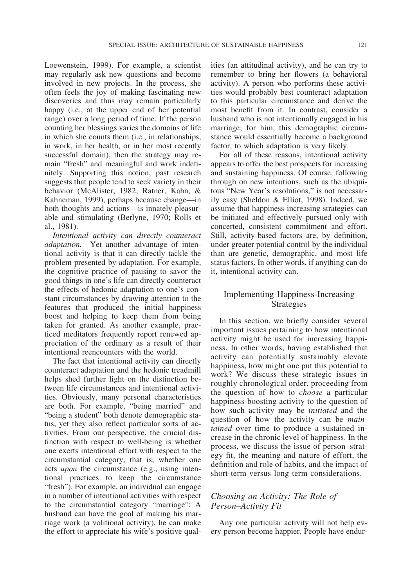Loewenstein, 1999). For example, a scientist may regularly ask new questions and become involved in new projects. In the process, she often feels the joy of making fascinating new discoveries and thus may remain particularly happy (i.e., at the upper end of her potential range) over a long period of time. If the person counting her blessings varies the domains of life in which she counts them (i.e., in relationships, in work, in her health, or in her most recently successful domain), then the strategy may remain "fresh" and meaningful and work indefinitely. Supporting this notion, past research suggests that people tend to seek variety in their behavior (McAlister, 1982; Ratner, Kahn, & Kahneman, 1999), perhaps because change—in both thoughts and actions—is innately pleasurable and stimulating (Berlyne, 1970; Rolls et al., 1981).

*Intentional activity can directly counteract adaptation.* Yet another advantage of intentional activity is that it can directly tackle the problem presented by adaptation. For example, the cognitive practice of pausing to savor the good things in one's life can directly counteract the effects of hedonic adaptation to one's constant circumstances by drawing attention to the features that produced the initial happiness boost and helping to keep them from being taken for granted. As another example, practiced meditators frequently report renewed appreciation of the ordinary as a result of their intentional reencounters with the world.

The fact that intentional activity can directly counteract adaptation and the hedonic treadmill helps shed further light on the distinction between life circumstances and intentional activities. Obviously, many personal characteristics are both. For example, "being married" and "being a student" both denote demographic status, yet they also reflect particular sorts of activities. From our perspective, the crucial distinction with respect to well-being is whether one exerts intentional effort with respect to the circumstantial category, that is, whether one acts *upon* the circumstance (e.g., using intentional practices to keep the circumstance "fresh"). For example, an individual can engage in a number of intentional activities with respect to the circumstantial category "marriage": A husband can have the goal of making his marriage work (a volitional activity), he can make the effort to appreciate his wife's positive qualities (an attitudinal activity), and he can try to remember to bring her flowers (a behavioral activity). A person who performs these activities would probably best counteract adaptation to this particular circumstance and derive the most benefit from it. In contrast, consider a husband who is not intentionally engaged in his marriage; for him, this demographic circumstance would essentially become a background factor, to which adaptation is very likely.

For all of these reasons, intentional activity appears to offer the best prospects for increasing and sustaining happiness. Of course, following through on new intentions, such as the ubiquitous "New Year's resolutions," is not necessarily easy (Sheldon & Elliot, 1998). Indeed, we assume that happiness-increasing strategies can be initiated and effectively pursued only with concerted, consistent commitment and effort. Still, activity-based factors are, by definition, under greater potential control by the individual than are genetic, demographic, and most life status factors. In other words, if anything can do it, intentional activity can.

# Implementing Happiness-Increasing Strategies

In this section, we briefly consider several important issues pertaining to how intentional activity might be used for increasing happiness. In other words, having established that activity can potentially sustainably elevate happiness, how might one put this potential to work? We discuss these strategic issues in roughly chronological order, proceeding from the question of how to *choose* a particular happiness-boosting activity to the question of how such activity may be *initiated* and the question of how the activity can be *maintained* over time to produce a sustained increase in the chronic level of happiness. In the process, we discuss the issue of person–strategy fit, the meaning and nature of effort, the definition and role of habits, and the impact of short-term versus long-term considerations.

## *Choosing an Activity: The Role of Person–Activity Fit*

Any one particular activity will not help every person become happier. People have endur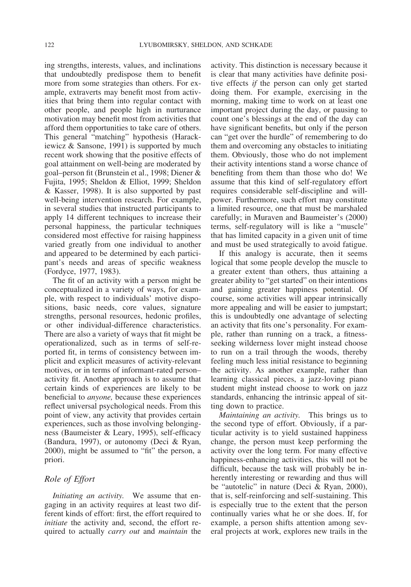ing strengths, interests, values, and inclinations that undoubtedly predispose them to benefit more from some strategies than others. For example, extraverts may benefit most from activities that bring them into regular contact with other people, and people high in nurturance motivation may benefit most from activities that afford them opportunities to take care of others. This general "matching" hypothesis (Harackiewicz & Sansone, 1991) is supported by much recent work showing that the positive effects of goal attainment on well-being are moderated by goal–person fit (Brunstein et al., 1998; Diener & Fujita, 1995; Sheldon & Elliot, 1999; Sheldon & Kasser, 1998). It is also supported by past well-being intervention research. For example, in several studies that instructed participants to apply 14 different techniques to increase their personal happiness, the particular techniques considered most effective for raising happiness varied greatly from one individual to another and appeared to be determined by each participant's needs and areas of specific weakness (Fordyce, 1977, 1983).

The fit of an activity with a person might be conceptualized in a variety of ways, for example, with respect to individuals' motive dispositions, basic needs, core values, signature strengths, personal resources, hedonic profiles, or other individual-difference characteristics. There are also a variety of ways that fit might be operationalized, such as in terms of self-reported fit, in terms of consistency between implicit and explicit measures of activity-relevant motives, or in terms of informant-rated person– activity fit. Another approach is to assume that certain kinds of experiences are likely to be beneficial to *anyone,* because these experiences reflect universal psychological needs. From this point of view, any activity that provides certain experiences, such as those involving belongingness (Baumeister & Leary, 1995), self-efficacy (Bandura, 1997), or autonomy (Deci & Ryan, 2000), might be assumed to "fit" the person, a priori.

### *Role of Effort*

*Initiating an activity.* We assume that engaging in an activity requires at least two different kinds of effort: first, the effort required to *initiate* the activity and, second, the effort required to actually *carry out* and *maintain* the

activity. This distinction is necessary because it is clear that many activities have definite positive effects *if* the person can only get started doing them. For example, exercising in the morning, making time to work on at least one important project during the day, or pausing to count one's blessings at the end of the day can have significant benefits, but only if the person can "get over the hurdle" of remembering to do them and overcoming any obstacles to initiating them. Obviously, those who do not implement their activity intentions stand a worse chance of benefiting from them than those who do! We assume that this kind of self-regulatory effort requires considerable self-discipline and willpower. Furthermore, such effort may constitute a limited resource, one that must be marshaled carefully; in Muraven and Baumeister's (2000) terms, self-regulatory will is like a "muscle" that has limited capacity in a given unit of time and must be used strategically to avoid fatigue.

If this analogy is accurate, then it seems logical that some people develop the muscle to a greater extent than others, thus attaining a greater ability to "get started" on their intentions and gaining greater happiness potential. Of course, some activities will appear intrinsically more appealing and will be easier to jumpstart; this is undoubtedly one advantage of selecting an activity that fits one's personality. For example, rather than running on a track, a fitnessseeking wilderness lover might instead choose to run on a trail through the woods, thereby feeling much less initial resistance to beginning the activity. As another example, rather than learning classical pieces, a jazz-loving piano student might instead choose to work on jazz standards, enhancing the intrinsic appeal of sitting down to practice.

*Maintaining an activity.* This brings us to the second type of effort. Obviously, if a particular activity is to yield sustained happiness change, the person must keep performing the activity over the long term. For many effective happiness-enhancing activities, this will not be difficult, because the task will probably be inherently interesting or rewarding and thus will be "autotelic" in nature (Deci & Ryan, 2000), that is, self-reinforcing and self-sustaining. This is especially true to the extent that the person continually varies what he or she does. If, for example, a person shifts attention among several projects at work, explores new trails in the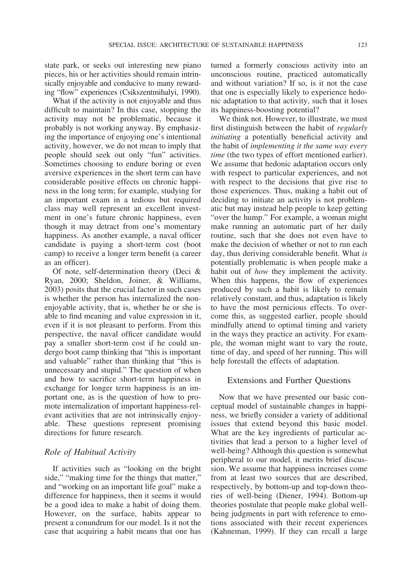state park, or seeks out interesting new piano pieces, his or her activities should remain intrinsically enjoyable and conducive to many rewarding "flow" experiences (Csikszentmihalyi, 1990).

What if the activity is not enjoyable and thus difficult to maintain? In this case, stopping the activity may not be problematic, because it probably is not working anyway. By emphasizing the importance of enjoying one's intentional activity, however, we do not mean to imply that people should seek out only "fun" activities. Sometimes choosing to endure boring or even aversive experiences in the short term can have considerable positive effects on chronic happiness in the long term; for example, studying for an important exam in a tedious but required class may well represent an excellent investment in one's future chronic happiness, even though it may detract from one's momentary happiness. As another example, a naval officer candidate is paying a short-term cost (boot camp) to receive a longer term benefit (a career as an officer).

Of note, self-determination theory (Deci & Ryan, 2000; Sheldon, Joiner, & Williams, 2003) posits that the crucial factor in such cases is whether the person has internalized the nonenjoyable activity, that is, whether he or she is able to find meaning and value expression in it, even if it is not pleasant to perform. From this perspective, the naval officer candidate would pay a smaller short-term cost if he could undergo boot camp thinking that "this is important and valuable" rather than thinking that "this is unnecessary and stupid." The question of when and how to sacrifice short-term happiness in exchange for longer term happiness is an important one, as is the question of how to promote internalization of important happiness-relevant activities that are not intrinsically enjoyable. These questions represent promising directions for future research.

#### *Role of Habitual Activity*

If activities such as "looking on the bright side," "making time for the things that matter," and "working on an important life goal" make a difference for happiness, then it seems it would be a good idea to make a habit of doing them. However, on the surface, habits appear to present a conundrum for our model. Is it not the case that acquiring a habit means that one has

turned a formerly conscious activity into an unconscious routine, practiced automatically and without variation? If so, is it not the case that one is especially likely to experience hedonic adaptation to that activity, such that it loses its happiness-boosting potential?

We think not. However, to illustrate, we must first distinguish between the habit of *regularly initiating* a potentially beneficial activity and the habit of *implementing it the same way every time* (the two types of effort mentioned earlier). We assume that hedonic adaptation occurs only with respect to particular experiences, and not with respect to the decisions that give rise to those experiences. Thus, making a habit out of deciding to initiate an activity is not problematic but may instead help people to keep getting "over the hump." For example, a woman might make running an automatic part of her daily routine, such that she does not even have to make the decision of whether or not to run each day, thus deriving considerable benefit. What *is* potentially problematic is when people make a habit out of *how* they implement the activity. When this happens, the flow of experiences produced by such a habit is likely to remain relatively constant, and thus, adaptation is likely to have the most pernicious effects. To overcome this, as suggested earlier, people should mindfully attend to optimal timing and variety in the ways they practice an activity. For example, the woman might want to vary the route, time of day, and speed of her running. This will help forestall the effects of adaptation.

## Extensions and Further Questions

Now that we have presented our basic conceptual model of sustainable changes in happiness, we briefly consider a variety of additional issues that extend beyond this basic model. What are the key ingredients of particular activities that lead a person to a higher level of well-being? Although this question is somewhat peripheral to our model, it merits brief discussion. We assume that happiness increases come from at least two sources that are described, respectively, by bottom-up and top-down theories of well-being (Diener, 1994). Bottom-up theories postulate that people make global wellbeing judgments in part with reference to emotions associated with their recent experiences (Kahneman, 1999). If they can recall a large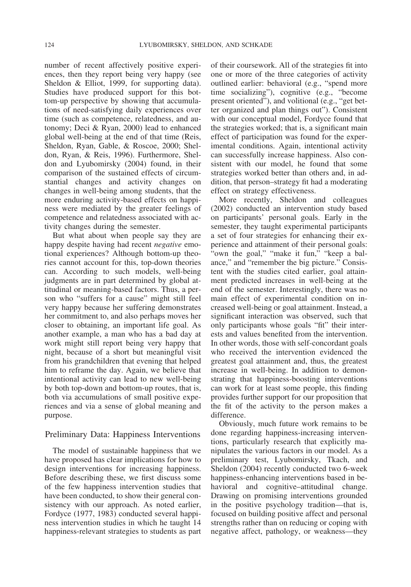number of recent affectively positive experiences, then they report being very happy (see Sheldon & Elliot, 1999, for supporting data). Studies have produced support for this bottom-up perspective by showing that accumulations of need-satisfying daily experiences over time (such as competence, relatedness, and autonomy; Deci & Ryan, 2000) lead to enhanced global well-being at the end of that time (Reis, Sheldon, Ryan, Gable, & Roscoe, 2000; Sheldon, Ryan, & Reis, 1996). Furthermore, Sheldon and Lyubomirsky (2004) found, in their comparison of the sustained effects of circumstantial changes and activity changes on changes in well-being among students, that the more enduring activity-based effects on happiness were mediated by the greater feelings of competence and relatedness associated with activity changes during the semester.

But what about when people say they are happy despite having had recent *negative* emotional experiences? Although bottom-up theories cannot account for this, top-down theories can. According to such models, well-being judgments are in part determined by global attitudinal or meaning-based factors. Thus, a person who "suffers for a cause" might still feel very happy because her suffering demonstrates her commitment to, and also perhaps moves her closer to obtaining, an important life goal. As another example, a man who has a bad day at work might still report being very happy that night, because of a short but meaningful visit from his grandchildren that evening that helped him to reframe the day. Again, we believe that intentional activity can lead to new well-being by both top-down and bottom-up routes, that is, both via accumulations of small positive experiences and via a sense of global meaning and purpose.

#### Preliminary Data: Happiness Interventions

The model of sustainable happiness that we have proposed has clear implications for how to design interventions for increasing happiness. Before describing these, we first discuss some of the few happiness intervention studies that have been conducted, to show their general consistency with our approach. As noted earlier, Fordyce (1977, 1983) conducted several happiness intervention studies in which he taught 14 happiness-relevant strategies to students as part of their coursework. All of the strategies fit into one or more of the three categories of activity outlined earlier: behavioral (e.g., "spend more time socializing"), cognitive (e.g., "become present oriented"), and volitional (e.g., "get better organized and plan things out"). Consistent with our conceptual model, Fordyce found that the strategies worked; that is, a significant main effect of participation was found for the experimental conditions. Again, intentional activity can successfully increase happiness. Also consistent with our model, he found that some strategies worked better than others and, in addition, that person–strategy fit had a moderating effect on strategy effectiveness.

More recently, Sheldon and colleagues (2002) conducted an intervention study based on participants' personal goals. Early in the semester, they taught experimental participants a set of four strategies for enhancing their experience and attainment of their personal goals: "own the goal," "make it fun," "keep a balance," and "remember the big picture." Consistent with the studies cited earlier, goal attainment predicted increases in well-being at the end of the semester. Interestingly, there was no main effect of experimental condition on increased well-being or goal attainment. Instead, a significant interaction was observed, such that only participants whose goals "fit" their interests and values benefited from the intervention. In other words, those with self-concordant goals who received the intervention evidenced the greatest goal attainment and, thus, the greatest increase in well-being. In addition to demonstrating that happiness-boosting interventions can work for at least some people, this finding provides further support for our proposition that the fit of the activity to the person makes a difference.

Obviously, much future work remains to be done regarding happiness-increasing interventions, particularly research that explicitly manipulates the various factors in our model. As a preliminary test, Lyubomirsky, Tkach, and Sheldon (2004) recently conducted two 6-week happiness-enhancing interventions based in behavioral and cognitive–attitudinal change. Drawing on promising interventions grounded in the positive psychology tradition—that is, focused on building positive affect and personal strengths rather than on reducing or coping with negative affect, pathology, or weakness—they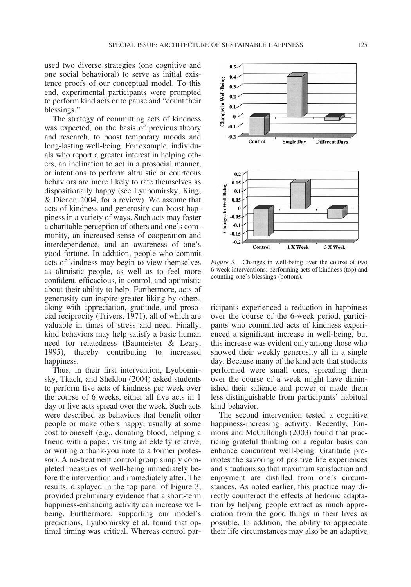used two diverse strategies (one cognitive and one social behavioral) to serve as initial existence proofs of our conceptual model. To this end, experimental participants were prompted to perform kind acts or to pause and "count their blessings."

The strategy of committing acts of kindness was expected, on the basis of previous theory and research, to boost temporary moods and long-lasting well-being. For example, individuals who report a greater interest in helping others, an inclination to act in a prosocial manner, or intentions to perform altruistic or courteous behaviors are more likely to rate themselves as dispositionally happy (see Lyubomirsky, King, & Diener, 2004, for a review). We assume that acts of kindness and generosity can boost happiness in a variety of ways. Such acts may foster a charitable perception of others and one's community, an increased sense of cooperation and interdependence, and an awareness of one's good fortune. In addition, people who commit acts of kindness may begin to view themselves as altruistic people, as well as to feel more confident, efficacious, in control, and optimistic about their ability to help. Furthermore, acts of generosity can inspire greater liking by others, along with appreciation, gratitude, and prosocial reciprocity (Trivers, 1971), all of which are valuable in times of stress and need. Finally, kind behaviors may help satisfy a basic human need for relatedness (Baumeister & Leary, 1995), thereby contributing to increased happiness.

Thus, in their first intervention, Lyubomirsky, Tkach, and Sheldon (2004) asked students to perform five acts of kindness per week over the course of 6 weeks, either all five acts in 1 day or five acts spread over the week. Such acts were described as behaviors that benefit other people or make others happy, usually at some cost to oneself (e.g., donating blood, helping a friend with a paper, visiting an elderly relative, or writing a thank-you note to a former professor). A no-treatment control group simply completed measures of well-being immediately before the intervention and immediately after. The results, displayed in the top panel of Figure 3, provided preliminary evidence that a short-term happiness-enhancing activity can increase wellbeing. Furthermore, supporting our model's predictions, Lyubomirsky et al. found that optimal timing was critical. Whereas control par-



*Figure 3.* Changes in well-being over the course of two 6-week interventions: performing acts of kindness (top) and counting one's blessings (bottom).

ticipants experienced a reduction in happiness over the course of the 6-week period, participants who committed acts of kindness experienced a significant increase in well-being, but this increase was evident only among those who showed their weekly generosity all in a single day. Because many of the kind acts that students performed were small ones, spreading them over the course of a week might have diminished their salience and power or made them less distinguishable from participants' habitual kind behavior.

The second intervention tested a cognitive happiness-increasing activity. Recently, Emmons and McCullough (2003) found that practicing grateful thinking on a regular basis can enhance concurrent well-being. Gratitude promotes the savoring of positive life experiences and situations so that maximum satisfaction and enjoyment are distilled from one's circumstances. As noted earlier, this practice may directly counteract the effects of hedonic adaptation by helping people extract as much appreciation from the good things in their lives as possible. In addition, the ability to appreciate their life circumstances may also be an adaptive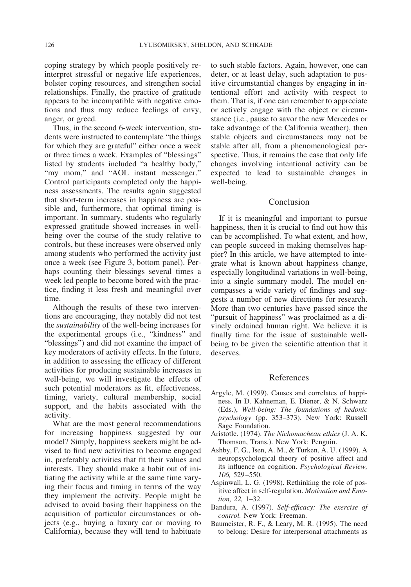coping strategy by which people positively reinterpret stressful or negative life experiences, bolster coping resources, and strengthen social relationships. Finally, the practice of gratitude appears to be incompatible with negative emotions and thus may reduce feelings of envy, anger, or greed.

Thus, in the second 6-week intervention, students were instructed to contemplate "the things for which they are grateful" either once a week or three times a week. Examples of "blessings" listed by students included "a healthy body," "my mom," and "AOL instant messenger." Control participants completed only the happiness assessments. The results again suggested that short-term increases in happiness are possible and, furthermore, that optimal timing is important. In summary, students who regularly expressed gratitude showed increases in wellbeing over the course of the study relative to controls, but these increases were observed only among students who performed the activity just once a week (see Figure 3, bottom panel). Perhaps counting their blessings several times a week led people to become bored with the practice, finding it less fresh and meaningful over time.

Although the results of these two interventions are encouraging, they notably did not test the *sustainability* of the well-being increases for the experimental groups (i.e., "kindness" and "blessings") and did not examine the impact of key moderators of activity effects. In the future, in addition to assessing the efficacy of different activities for producing sustainable increases in well-being, we will investigate the effects of such potential moderators as fit, effectiveness, timing, variety, cultural membership, social support, and the habits associated with the activity.

What are the most general recommendations for increasing happiness suggested by our model? Simply, happiness seekers might be advised to find new activities to become engaged in, preferably activities that fit their values and interests. They should make a habit out of initiating the activity while at the same time varying their focus and timing in terms of the way they implement the activity. People might be advised to avoid basing their happiness on the acquisition of particular circumstances or objects (e.g., buying a luxury car or moving to California), because they will tend to habituate

to such stable factors. Again, however, one can deter, or at least delay, such adaptation to positive circumstantial changes by engaging in intentional effort and activity with respect to them. That is, if one can remember to appreciate or actively engage with the object or circumstance (i.e., pause to savor the new Mercedes or take advantage of the California weather), then stable objects and circumstances may not be stable after all, from a phenomenological perspective. Thus, it remains the case that only life changes involving intentional activity can be expected to lead to sustainable changes in well-being.

## Conclusion

If it is meaningful and important to pursue happiness, then it is crucial to find out how this can be accomplished. To what extent, and how, can people succeed in making themselves happier? In this article, we have attempted to integrate what is known about happiness change, especially longitudinal variations in well-being, into a single summary model. The model encompasses a wide variety of findings and suggests a number of new directions for research. More than two centuries have passed since the "pursuit of happiness" was proclaimed as a divinely ordained human right. We believe it is finally time for the issue of sustainable wellbeing to be given the scientific attention that it deserves.

### References

- Argyle, M. (1999). Causes and correlates of happiness. In D. Kahneman, E. Diener, & N. Schwarz (Eds.), *Well-being: The foundations of hedonic psychology* (pp. 353–373). New York: Russell Sage Foundation.
- Aristotle. (1974). *The Nichomachean ethics* (J. A. K. Thomson, Trans.). New York: Penguin.
- Ashby, F. G., Isen, A. M., & Turken, A. U. (1999). A neuropsychological theory of positive affect and its influence on cognition. *Psychological Review, 106,* 529–550.
- Aspinwall, L. G. (1998). Rethinking the role of positive affect in self-regulation. *Motivation and Emotion, 22,* 1–32.
- Bandura, A. (1997). *Self-efficacy: The exercise of control.* New York: Freeman.
- Baumeister, R. F., & Leary, M. R. (1995). The need to belong: Desire for interpersonal attachments as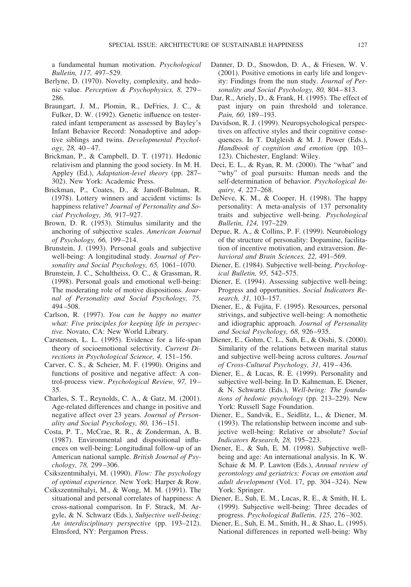a fundamental human motivation. *Psychological Bulletin, 117,* 497–529.

- Berlyne, D. (1970). Novelty, complexity, and hedonic value. *Perception & Psychophysics, 8,* 279– 286.
- Braungart, J. M., Plomin, R., DeFries, J. C., & Fulker, D. W. (1992). Genetic influence on testerrated infant temperament as assessed by Bayley's Infant Behavior Record: Nonadoptive and adoptive siblings and twins. *Developmental Psychology, 28,* 40–47.
- Brickman, P., & Campbell, D. T. (1971). Hedonic relativism and planning the good society. In M. H. Appley (Ed.), *Adaptation-level theory* (pp. 287– 302). New York: Academic Press.
- Brickman, P., Coates, D., & Janoff-Bulman, R. (1978). Lottery winners and accident victims: Is happiness relative? *Journal of Personality and Social Psychology, 36,* 917–927.
- Brown, D. R. (1953). Stimulus similarity and the anchoring of subjective scales. *American Journal of Psychology, 66,* 199–214.
- Brunstein, J. (1993). Personal goals and subjective well-being: A longitudinal study. *Journal of Personality and Social Psychology, 65,* 1061–1070.
- Brunstein, J. C., Schultheiss, O. C., & Grassman, R. (1998). Personal goals and emotional well-being: The moderating role of motive dispositions. *Journal of Personality and Social Psychology, 75,* 494–508.
- Carlson, R. (1997). *You can be happy no matter what: Five principles for keeping life in perspective.* Novato, CA: New World Library.
- Carstensen, L. L. (1995). Evidence for a life-span theory of socioemotional selectivity. *Current Directions in Psychological Science, 4,* 151–156.
- Carver, C. S., & Scheier, M. F. (1990). Origins and functions of positive and negative affect: A control-process view. *Psychological Review, 97,* 19– 35.
- Charles, S. T., Reynolds, C. A., & Gatz, M. (2001). Age-related differences and change in positive and negative affect over 23 years. *Journal of Personality and Social Psychology, 80,* 136–151.
- Costa, P. T., McCrae, R. R., & Zonderman, A. B. (1987). Environmental and dispositional influences on well-being: Longitudinal follow-up of an American national sample. *British Journal of Psychology, 78,* 299–306.
- Csikszentmihalyi, M. (1990). *Flow: The psychology of optimal experience.* New York: Harper & Row.
- Csikszentmihalyi, M., & Wong, M. M. (1991). The situational and personal correlates of happiness: A cross-national comparison. In F. Strack, M. Argyle, & N. Schwarz (Eds.), *Subjective well-being: An interdisciplinary perspective* (pp. 193–212). Elmsford, NY: Pergamon Press.
- Danner, D. D., Snowdon, D. A., & Friesen, W. V. (2001). Positive emotions in early life and longevity: Findings from the nun study. *Journal of Personality and Social Psychology, 80,* 804–813.
- Dar, R., Ariely, D., & Frank, H. (1995). The effect of past injury on pain threshold and tolerance. *Pain, 60,* 189–193.
- Davidson, R. J. (1999). Neuropsychological perspectives on affective styles and their cognitive consequences. In T. Dalgleish & M. J. Power (Eds.), *Handbook of cognition and emotion* (pp. 103– 123). Chichester, England: Wiley.
- Deci, E. L., & Ryan, R. M. (2000). The "what" and "why" of goal pursuits: Human needs and the self-determination of behavior. *Psychological Inquiry, 4,* 227–268.
- DeNeve, K. M., & Cooper, H. (1998). The happy personality: A meta-analysis of 137 personality traits and subjective well-being. *Psychological Bulletin, 124,* 197–229.
- Depue, R. A., & Collins, P. F. (1999). Neurobiology of the structure of personality: Dopamine, facilitation of incentive motivation, and extraversion. *Behavioral and Brain Sciences, 22,* 491–569.
- Diener, E. (1984). Subjective well-being. *Psychological Bulletin, 95,* 542–575.
- Diener, E. (1994). Assessing subjective well-being: Progress and opportunities. *Social Indicators Research, 31,* 103–157.
- Diener, E., & Fujita, F. (1995). Resources, personal strivings, and subjective well-being: A nomothetic and idiographic approach. *Journal of Personality and Social Psychology, 68,* 926–935.
- Diener, E., Gohm, C. L., Suh, E., & Oishi, S. (2000). Similarity of the relations between marital status and subjective well-being across cultures. *Journal of Cross-Cultural Psychology, 31,* 419–436.
- Diener, E., & Lucas, R. E. (1999). Personality and subjective well-being. In D. Kahneman, E. Diener, & N. Schwartz (Eds.), *Well-being: The foundations of hedonic psychology* (pp. 213–229). New York: Russell Sage Foundation.
- Diener, E., Sandvik, E., Seidlitz, L., & Diener, M. (1993). The relationship between income and subjective well-being: Relative or absolute? *Social Indicators Research, 28,* 195–223.
- Diener, E., & Suh, E. M. (1998). Subjective wellbeing and age: An international analysis. In K. W. Schaie & M. P. Lawton (Eds.), *Annual review of gerontology and geriatrics: Focus on emotion and adult development* (Vol. 17, pp. 304–324). New York: Springer.
- Diener, E., Suh, E. M., Lucas, R. E., & Smith, H. L. (1999). Subjective well-being: Three decades of progress. *Psychological Bulletin, 125,* 276–302.
- Diener, E., Suh, E. M., Smith, H., & Shao, L. (1995). National differences in reported well-being: Why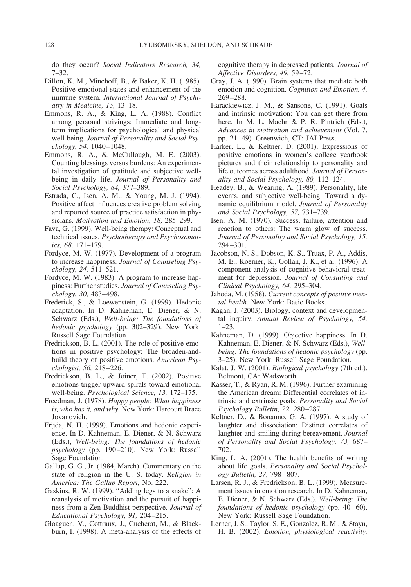do they occur? *Social Indicators Research, 34,* 7–32.

- Dillon, K. M., Minchoff, B., & Baker, K. H. (1985). Positive emotional states and enhancement of the immune system. *International Journal of Psychiatry in Medicine, 15,* 13–18.
- Emmons, R. A., & King, L. A. (1988). Conflict among personal strivings: Immediate and longterm implications for psychological and physical well-being. *Journal of Personality and Social Psychology, 54,* 1040–1048.
- Emmons, R. A., & McCullough, M. E. (2003). Counting blessings versus burdens: An experimental investigation of gratitude and subjective wellbeing in daily life. *Journal of Personality and Social Psychology, 84,* 377–389.
- Estrada, C., Isen, A. M., & Young, M. J. (1994). Positive affect influences creative problem solving and reported source of practice satisfaction in physicians. *Motivation and Emotion, 18,* 285–299.
- Fava, G. (1999). Well-being therapy: Conceptual and technical issues. *Psychotherapy and Psychosomatics, 68,* 171–179.
- Fordyce, M. W. (1977). Development of a program to increase happiness. *Journal of Counseling Psychology, 24,* 511–521.
- Fordyce, M. W. (1983). A program to increase happiness: Further studies. *Journal of Counseling Psychology, 30,* 483–498.
- Frederick, S., & Loewenstein, G. (1999). Hedonic adaptation. In D. Kahneman, E. Diener, & N. Schwarz (Eds.), *Well-being: The foundations of hedonic psychology* (pp. 302–329). New York: Russell Sage Foundation.
- Fredrickson, B. L. (2001). The role of positive emotions in positive psychology: The broaden-andbuild theory of positive emotions. *American Psychologist, 56,* 218–226.
- Fredrickson, B. L., & Joiner, T. (2002). Positive emotions trigger upward spirals toward emotional well-being. *Psychological Science, 13,* 172–175.
- Freedman, J. (1978). *Happy people: What happiness is, who has it, and why.* New York: Harcourt Brace Jovanovich.
- Frijda, N. H. (1999). Emotions and hedonic experience. In D. Kahneman, E. Diener, & N. Schwarz (Eds.), *Well-being: The foundations of hedonic psychology* (pp. 190–210). New York: Russell Sage Foundation.
- Gallup, G. G., Jr. (1984, March). Commentary on the state of religion in the U. S. today. *Religion in America: The Gallup Report,* No. 222.
- Gaskins, R. W. (1999). "Adding legs to a snake": A reanalysis of motivation and the pursuit of happiness from a Zen Buddhist perspective. *Journal of Educational Psychology, 91,* 204–215.
- Gloaguen, V., Cottraux, J., Cucherat, M., & Blackburn, I. (1998). A meta-analysis of the effects of

cognitive therapy in depressed patients. *Journal of Affective Disorders, 49,* 59–72.

- Gray, J. A. (1990). Brain systems that mediate both emotion and cognition. *Cognition and Emotion, 4,* 269–288.
- Harackiewicz, J. M., & Sansone, C. (1991). Goals and intrinsic motivation: You can get there from here. In M. L. Maehr & P. R. Pintrich (Eds.), *Advances in motivation and achievement* (Vol. 7, pp. 21–49). Greenwich, CT: JAI Press.
- Harker, L., & Keltner, D. (2001). Expressions of positive emotions in women's college yearbook pictures and their relationship to personality and life outcomes across adulthood. *Journal of Personality and Social Psychology, 80,* 112–124.
- Headey, B., & Wearing, A. (1989). Personality, life events, and subjective well-being: Toward a dynamic equilibrium model. *Journal of Personality and Social Psychology, 57,* 731–739.
- Isen, A. M. (1970). Success, failure, attention and reaction to others: The warm glow of success. *Journal of Personality and Social Psychology, 15,* 294–301.
- Jacobson, N. S., Dobson, K. S., Truax, P. A., Addis, M. E., Koerner, K., Gollan, J. K., et al. (1996). A component analysis of cognitive-behavioral treatment for depression. *Journal of Consulting and Clinical Psychology, 64,* 295–304.
- Jahoda, M. (1958). *Current concepts of positive mental health.* New York: Basic Books.
- Kagan, J. (2003). Biology, context and developmental inquiry. *Annual Review of Psychology, 54,* 1–23.
- Kahneman, D. (1999). Objective happiness. In D. Kahneman, E. Diener, & N. Schwarz (Eds.), *Wellbeing: The foundations of hedonic psychology* (pp. 3–25). New York: Russell Sage Foundation.
- Kalat, J. W. (2001). *Biological psychology* (7th ed.). Belmont, CA: Wadsworth.
- Kasser, T., & Ryan, R. M. (1996). Further examining the American dream: Differential correlates of intrinsic and extrinsic goals. *Personality and Social Psychology Bulletin, 22,* 280–287.
- Keltner, D., & Bonanno, G. A. (1997). A study of laughter and dissociation: Distinct correlates of laughter and smiling during bereavement. *Journal of Personality and Social Psychology, 73,* 687– 702.
- King, L. A. (2001). The health benefits of writing about life goals. *Personality and Social Psychology Bulletin, 27,* 798–807.
- Larsen, R. J., & Fredrickson, B. L. (1999). Measurement issues in emotion research. In D. Kahneman, E. Diener, & N. Schwarz (Eds.), *Well-being: The foundations of hedonic psychology* (pp. 40–60). New York: Russell Sage Foundation.
- Lerner, J. S., Taylor, S. E., Gonzalez, R. M., & Stayn, H. B. (2002). *Emotion, physiological reactivity,*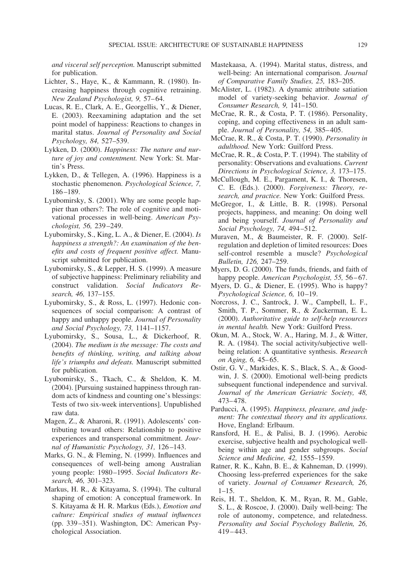*and visceral self perception.* Manuscript submitted for publication.

- Lichter, S., Haye, K., & Kammann, R. (1980). Increasing happiness through cognitive retraining. *New Zealand Psychologist, 9,* 57–64.
- Lucas, R. E., Clark, A. E., Georgellis, Y., & Diener, E. (2003). Reexamining adaptation and the set point model of happiness: Reactions to changes in marital status. *Journal of Personality and Social Psychology, 84,* 527–539.
- Lykken, D. (2000). *Happiness: The nature and nurture of joy and contentment.* New York: St. Martin's Press.
- Lykken, D., & Tellegen, A. (1996). Happiness is a stochastic phenomenon. *Psychological Science, 7,* 186–189.
- Lyubomirsky, S. (2001). Why are some people happier than others?: The role of cognitive and motivational processes in well-being. *American Psychologist, 56,* 239–249.
- Lyubomirsky, S., King, L. A., & Diener, E. (2004). *Is happiness a strength?: An examination of the benefits and costs of frequent positive affect.* Manuscript submitted for publication.
- Lyubomirsky, S., & Lepper, H. S. (1999). A measure of subjective happiness: Preliminary reliability and construct validation. *Social Indicators Research, 46,* 137–155.
- Lyubomirsky, S., & Ross, L. (1997). Hedonic consequences of social comparison: A contrast of happy and unhappy people. *Journal of Personality and Social Psychology, 73,* 1141–1157.
- Lyubomirsky, S., Sousa, L., & Dickerhoof, R. (2004). *The medium is the message: The costs and benefits of thinking, writing, and talking about life's triumphs and defeats.* Manuscript submitted for publication.
- Lyubomirsky, S., Tkach, C., & Sheldon, K. M. (2004). [Pursuing sustained happiness through random acts of kindness and counting one's blessings: Tests of two six-week interventions]. Unpublished raw data.
- Magen, Z., & Aharoni, R. (1991). Adolescents' contributing toward others: Relationship to positive experiences and transpersonal commitment. *Journal of Humanistic Psychology, 31,* 126–143.
- Marks, G. N., & Fleming, N. (1999). Influences and consequences of well-being among Australian young people: 1980–1995. *Social Indicators Research, 46,* 301–323.
- Markus, H. R., & Kitayama, S. (1994). The cultural shaping of emotion: A conceptual framework. In S. Kitayama & H. R. Markus (Eds.), *Emotion and culture: Empirical studies of mutual influences* (pp. 339–351). Washington, DC: American Psychological Association.
- Mastekaasa, A. (1994). Marital status, distress, and well-being: An international comparison. *Journal of Comparative Family Studies, 25,* 183–205.
- McAlister, L. (1982). A dynamic attribute satiation model of variety-seeking behavior. *Journal of Consumer Research, 9,* 141–150.
- McCrae, R. R., & Costa, P. T. (1986). Personality, coping, and coping effectiveness in an adult sample. *Journal of Personality, 54,* 385–405.
- McCrae, R. R., & Costa, P. T. (1990). *Personality in adulthood.* New York: Guilford Press.
- McCrae, R. R., & Costa, P. T. (1994). The stability of personality: Observations and evaluations. *Current Directions in Psychological Science, 3,* 173–175.
- McCullough, M. E., Pargament, K. I., & Thoresen, C. E. (Eds.). (2000). *Forgiveness: Theory, research, and practice.* New York: Guilford Press.
- McGregor, I., & Little, B. R. (1998). Personal projects, happiness, and meaning: On doing well and being yourself. *Journal of Personality and Social Psychology, 74,* 494–512.
- Muraven, M., & Baumeister, R. F. (2000). Selfregulation and depletion of limited resources: Does self-control resemble a muscle? *Psychological Bulletin, 126,* 247–259.
- Myers, D. G. (2000). The funds, friends, and faith of happy people. *American Psychologist, 55,* 56–67.
- Myers, D. G., & Diener, E. (1995). Who is happy? *Psychological Science, 6,* 10–19.
- Norcross, J. C., Santrock, J. W., Campbell, L. F., Smith, T. P., Sommer, R., & Zuckerman, E. L. (2000). *Authoritative guide to self-help resources in mental health.* New York: Guilford Press.
- Okun, M. A., Stock, W. A., Haring, M. J., & Witter, R. A. (1984). The social activity/subjective wellbeing relation: A quantitative synthesis. *Research on Aging, 6,* 45–65.
- Ostir, G. V., Markides, K. S., Black, S. A., & Goodwin, J. S. (2000). Emotional well-being predicts subsequent functional independence and survival. *Journal of the American Geriatric Society, 48,* 473–478.
- Parducci, A. (1995). *Happiness, pleasure, and judgment: The contextual theory and its applications.* Hove, England: Erlbaum.
- Ransford, H. E., & Palisi, B. J. (1996). Aerobic exercise, subjective health and psychological wellbeing within age and gender subgroups. *Social Science and Medicine, 42,* 1555–1559.
- Ratner, R. K., Kahn, B. E., & Kahneman, D. (1999). Choosing less-preferred experiences for the sake of variety. *Journal of Consumer Research, 26,* 1–15.
- Reis, H. T., Sheldon, K. M., Ryan, R. M., Gable, S. L., & Roscoe, J. (2000). Daily well-being: The role of autonomy, competence, and relatedness. *Personality and Social Psychology Bulletin, 26,* 419–443.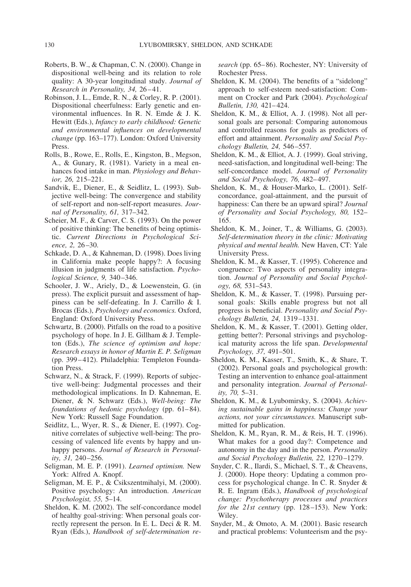- Roberts, B. W., & Chapman, C. N. (2000). Change in dispositional well-being and its relation to role quality: A 30-year longitudinal study. *Journal of Research in Personality, 34,* 26–41.
- Robinson, J. L., Emde, R. N., & Corley, R. P. (2001). Dispositional cheerfulness: Early genetic and environmental influences. In R. N. Emde & J. K. Hewitt (Eds.), *Infancy to early childhood: Genetic and environmental influences on developmental change* (pp. 163–177). London: Oxford University Press.
- Rolls, B., Rowe, E., Rolls, E., Kingston, B., Megson, A., & Gunary, R. (1981). Variety in a meal enhances food intake in man. *Physiology and Behavior, 26,* 215–221.
- Sandvik, E., Diener, E., & Seidlitz, L. (1993). Subjective well-being: The convergence and stability of self-report and non-self-report measures. *Journal of Personality, 61,* 317–342.
- Scheier, M. F., & Carver, C. S. (1993). On the power of positive thinking: The benefits of being optimistic. *Current Directions in Psychological Science, 2,* 26–30.
- Schkade, D. A., & Kahneman, D. (1998). Does living in California make people happy?: A focusing illusion in judgments of life satisfaction. *Psychological Science, 9,* 340–346.
- Schooler, J. W., Ariely, D., & Loewenstein, G. (in press). The explicit pursuit and assessment of happiness can be self-defeating. In J. Carrillo & I. Brocas (Eds.), *Psychology and economics.* Oxford, England: Oxford University Press.
- Schwartz, B. (2000). Pitfalls on the road to a positive psychology of hope. In J. E. Gillham & J. Templeton (Eds.), *The science of optimism and hope: Research essays in honor of Martin E. P. Seligman* (pp. 399–412). Philadelphia: Templeton Foundation Press.
- Schwarz, N., & Strack, F. (1999). Reports of subjective well-being: Judgmental processes and their methodological implications. In D. Kahneman, E. Diener, & N. Schwarz (Eds.), *Well-being: The foundations of hedonic psychology* (pp. 61–84). New York: Russell Sage Foundation.
- Seidlitz, L., Wyer, R. S., & Diener, E. (1997). Cognitive correlates of subjective well-being: The processing of valenced life events by happy and unhappy persons. *Journal of Research in Personality, 31,* 240–256.
- Seligman, M. E. P. (1991). *Learned optimism.* New York: Alfred A. Knopf.
- Seligman, M. E. P., & Csikszentmihalyi, M. (2000). Positive psychology: An introduction. *American Psychologist, 55,* 5–14.
- Sheldon, K. M. (2002). The self-concordance model of healthy goal-striving: When personal goals correctly represent the person. In E. L. Deci & R. M. Ryan (Eds.), *Handbook of self-determination re-*

*search* (pp. 65–86). Rochester, NY: University of Rochester Press.

- Sheldon, K. M. (2004). The benefits of a "sidelong" approach to self-esteem need-satisfaction: Comment on Crocker and Park (2004). *Psychological Bulletin, 130,* 421–424.
- Sheldon, K. M., & Elliot, A. J. (1998). Not all personal goals are personal: Comparing autonomous and controlled reasons for goals as predictors of effort and attainment. *Personality and Social Psychology Bulletin, 24,* 546–557.
- Sheldon, K. M., & Elliot, A. J. (1999). Goal striving, need-satisfaction, and longitudinal well-being: The self-concordance model. *Journal of Personality and Social Psychology, 76,* 482–497.
- Sheldon, K. M., & Houser-Marko, L. (2001). Selfconcordance, goal-attainment, and the pursuit of happiness: Can there be an upward spiral? *Journal of Personality and Social Psychology, 80,* 152– 165.
- Sheldon, K. M., Joiner, T., & Williams, G. (2003). *Self-determination theory in the clinic: Motivating physical and mental health.* New Haven, CT: Yale University Press.
- Sheldon, K. M., & Kasser, T. (1995). Coherence and congruence: Two aspects of personality integration. *Journal of Personality and Social Psychology, 68,* 531–543.
- Sheldon, K. M., & Kasser, T. (1998). Pursuing personal goals: Skills enable progress but not all progress is beneficial. *Personality and Social Psychology Bulletin, 24,* 1319–1331.
- Sheldon, K. M., & Kasser, T. (2001). Getting older, getting better?: Personal strivings and psychological maturity across the life span. *Developmental Psychology, 37,* 491–501.
- Sheldon, K. M., Kasser, T., Smith, K., & Share, T. (2002). Personal goals and psychological growth: Testing an intervention to enhance goal-attainment and personality integration. *Journal of Personality, 70,* 5–31.
- Sheldon, K. M., & Lyubomirsky, S. (2004). *Achieving sustainable gains in happiness: Change your actions, not your circumstances.* Manuscript submitted for publication.
- Sheldon, K. M., Ryan, R. M., & Reis, H. T. (1996). What makes for a good day?: Competence and autonomy in the day and in the person. *Personality and Social Psychology Bulletin, 22,* 1270–1279.
- Snyder, C. R., Ilardi, S., Michael, S. T., & Cheavens, J. (2000). Hope theory: Updating a common process for psychological change. In C. R. Snyder & R. E. Ingram (Eds.), *Handbook of psychological change: Psychotherapy processes and practices for the 21st century* (pp. 128–153). New York: Wiley.
- Snyder, M., & Omoto, A. M. (2001). Basic research and practical problems: Volunteerism and the psy-